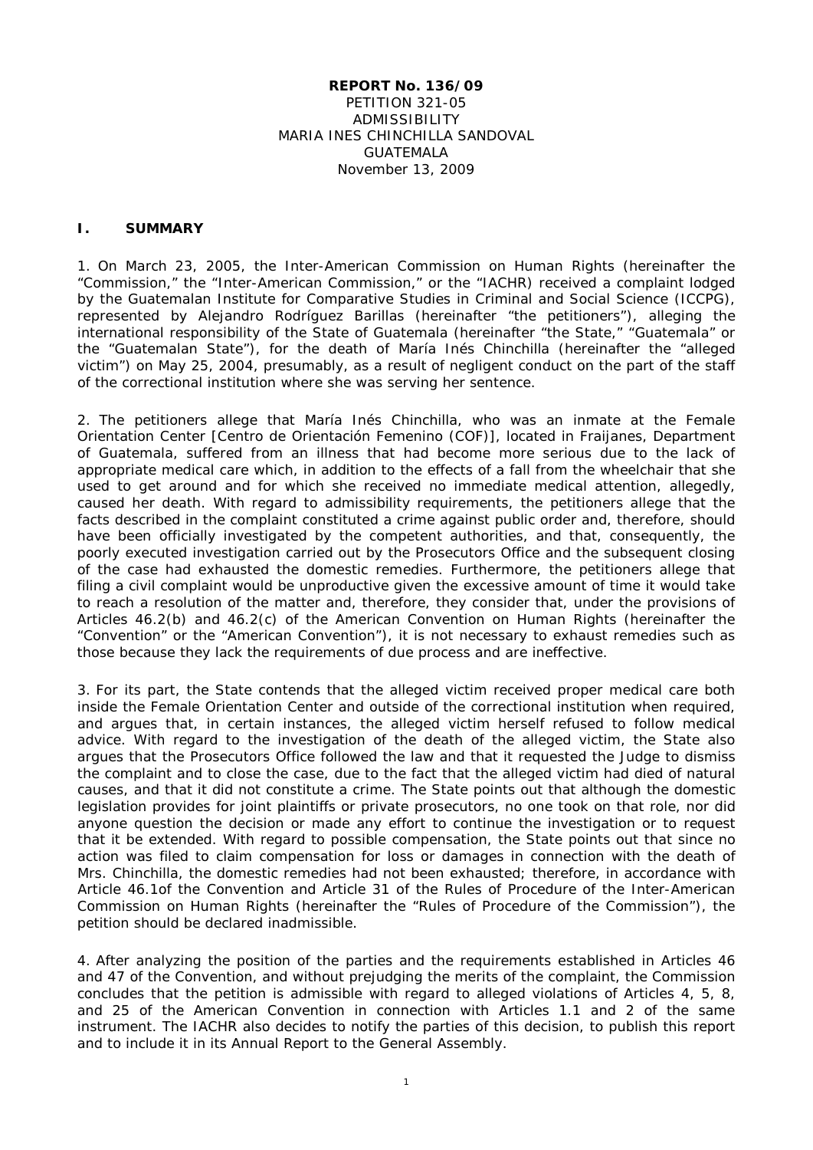#### **REPORT No. 136/09** PETITION 321-05 ADMISSIBILITY MARIA INES CHINCHILLA SANDOVAL GUATEMALA November 13, 2009

#### **I. SUMMARY**

1. On March 23, 2005, the Inter-American Commission on Human Rights (hereinafter the "Commission," the "Inter-American Commission," or the "IACHR) received a complaint lodged by the Guatemalan Institute for Comparative Studies in Criminal and Social Science (ICCPG), represented by Alejandro Rodríguez Barillas (hereinafter "the petitioners"), alleging the international responsibility of the State of Guatemala (hereinafter "the State," "Guatemala" or the "Guatemalan State"), for the death of María Inés Chinchilla (hereinafter the "alleged victim") on May 25, 2004, presumably, as a result of negligent conduct on the part of the staff of the correctional institution where she was serving her sentence.

2. The petitioners allege that María Inés Chinchilla, who was an inmate at the Female Orientation Center [Centro de Orientación Femenino (COF)], located in Fraijanes, Department of Guatemala, suffered from an illness that had become more serious due to the lack of appropriate medical care which, in addition to the effects of a fall from the wheelchair that she used to get around and for which she received no immediate medical attention, allegedly, caused her death. With regard to admissibility requirements, the petitioners allege that the facts described in the complaint constituted a crime against public order and, therefore, should have been officially investigated by the competent authorities, and that, consequently, the poorly executed investigation carried out by the Prosecutors Office and the subsequent closing of the case had exhausted the domestic remedies. Furthermore, the petitioners allege that filing a civil complaint would be unproductive given the excessive amount of time it would take to reach a resolution of the matter and, therefore, they consider that, under the provisions of Articles 46.2(b) and 46.2(c) of the American Convention on Human Rights (hereinafter the "Convention" or the "American Convention"), it is not necessary to exhaust remedies such as those because they lack the requirements of due process and are ineffective.

3. For its part, the State contends that the alleged victim received proper medical care both inside the Female Orientation Center and outside of the correctional institution when required, and argues that, in certain instances, the alleged victim herself refused to follow medical advice. With regard to the investigation of the death of the alleged victim, the State also argues that the Prosecutors Office followed the law and that it requested the Judge to dismiss the complaint and to close the case, due to the fact that the alleged victim had died of natural causes, and that it did not constitute a crime. The State points out that although the domestic legislation provides for joint plaintiffs or private prosecutors, no one took on that role, nor did anyone question the decision or made any effort to continue the investigation or to request that it be extended. With regard to possible compensation, the State points out that since no action was filed to claim compensation for loss or damages in connection with the death of Mrs. Chinchilla, the domestic remedies had not been exhausted; therefore, in accordance with Article 46.1of the Convention and Article 31 of the Rules of Procedure of the Inter-American Commission on Human Rights (hereinafter the "Rules of Procedure of the Commission"), the petition should be declared inadmissible.

4. After analyzing the position of the parties and the requirements established in Articles 46 and 47 of the Convention, and without prejudging the merits of the complaint, the Commission concludes that the petition is admissible with regard to alleged violations of Articles 4, 5, 8, and 25 of the American Convention in connection with Articles 1.1 and 2 of the same instrument. The IACHR also decides to notify the parties of this decision, to publish this report and to include it in its Annual Report to the General Assembly.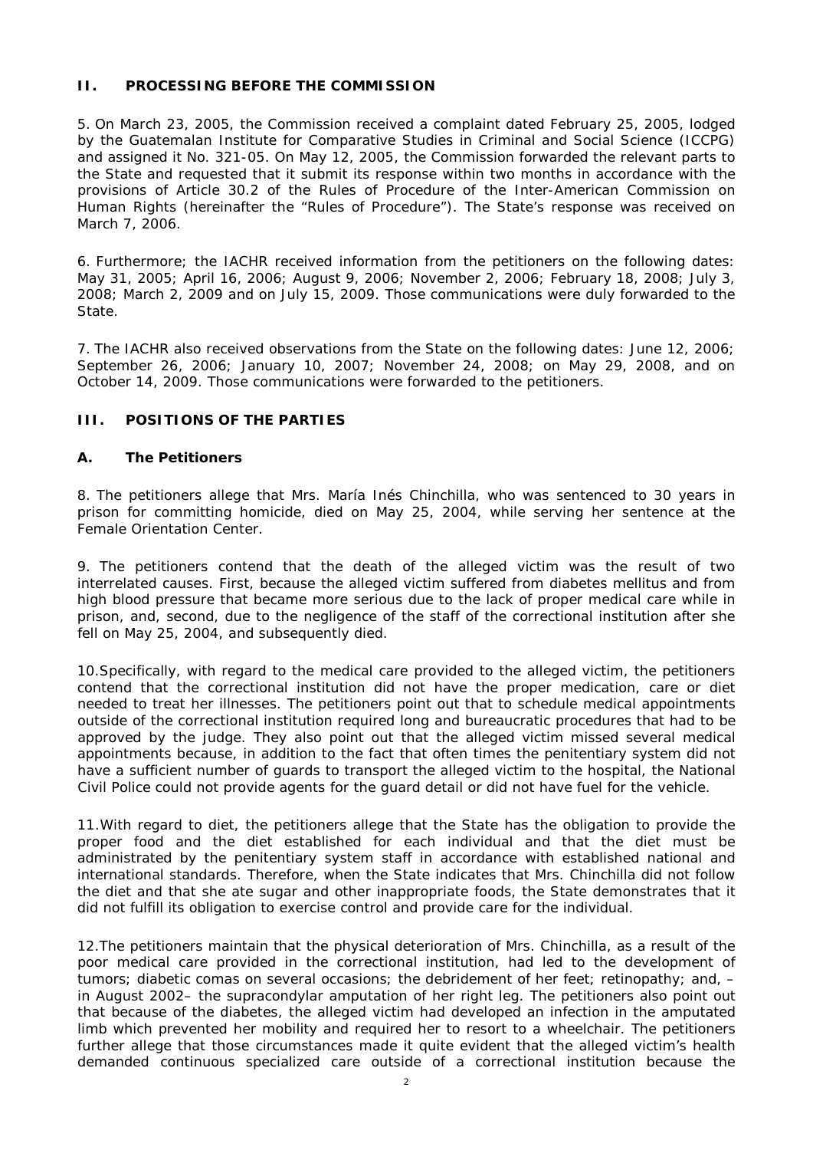## **II. PROCESSING BEFORE THE COMMISSION**

5. On March 23, 2005, the Commission received a complaint dated February 25, 2005, lodged by the Guatemalan Institute for Comparative Studies in Criminal and Social Science (ICCPG) and assigned it No. 321-05. On May 12, 2005, the Commission forwarded the relevant parts to the State and requested that it submit its response within two months in accordance with the provisions of Article 30.2 of the Rules of Procedure of the Inter-American Commission on Human Rights (hereinafter the "Rules of Procedure"). The State's response was received on March 7, 2006.

6. Furthermore; the IACHR received information from the petitioners on the following dates: May 31, 2005; April 16, 2006; August 9, 2006; November 2, 2006; February 18, 2008; July 3, 2008; March 2, 2009 and on July 15, 2009. Those communications were duly forwarded to the State.

7. The IACHR also received observations from the State on the following dates: June 12, 2006; September 26, 2006; January 10, 2007; November 24, 2008; on May 29, 2008, and on October 14, 2009. Those communications were forwarded to the petitioners.

## **III. POSITIONS OF THE PARTIES**

#### **A. The Petitioners**

8. The petitioners allege that Mrs. María Inés Chinchilla, who was sentenced to 30 years in prison for committing homicide, died on May 25, 2004, while serving her sentence at the Female Orientation Center.

9. The petitioners contend that the death of the alleged victim was the result of two interrelated causes. First, because the alleged victim suffered from diabetes mellitus and from high blood pressure that became more serious due to the lack of proper medical care while in prison, and, second, due to the negligence of the staff of the correctional institution after she fell on May 25, 2004, and subsequently died.

10.Specifically, with regard to the medical care provided to the alleged victim, the petitioners contend that the correctional institution did not have the proper medication, care or diet needed to treat her illnesses. The petitioners point out that to schedule medical appointments outside of the correctional institution required long and bureaucratic procedures that had to be approved by the judge. They also point out that the alleged victim missed several medical appointments because, in addition to the fact that often times the penitentiary system did not have a sufficient number of guards to transport the alleged victim to the hospital, the National Civil Police could not provide agents for the guard detail or did not have fuel for the vehicle.

11.With regard to diet, the petitioners allege that the State has the obligation to provide the proper food and the diet established for each individual and that the diet must be administrated by the penitentiary system staff in accordance with established national and international standards. Therefore, when the State indicates that Mrs. Chinchilla did not follow the diet and that she ate sugar and other inappropriate foods, the State demonstrates that it did not fulfill its obligation to exercise control and provide care for the individual.

12.The petitioners maintain that the physical deterioration of Mrs. Chinchilla, as a result of the poor medical care provided in the correctional institution, had led to the development of tumors; diabetic comas on several occasions; the debridement of her feet; retinopathy; and, – in August 2002– the supracondylar amputation of her right leg. The petitioners also point out that because of the diabetes, the alleged victim had developed an infection in the amputated limb which prevented her mobility and required her to resort to a wheelchair. The petitioners further allege that those circumstances made it quite evident that the alleged victim's health demanded continuous specialized care outside of a correctional institution because the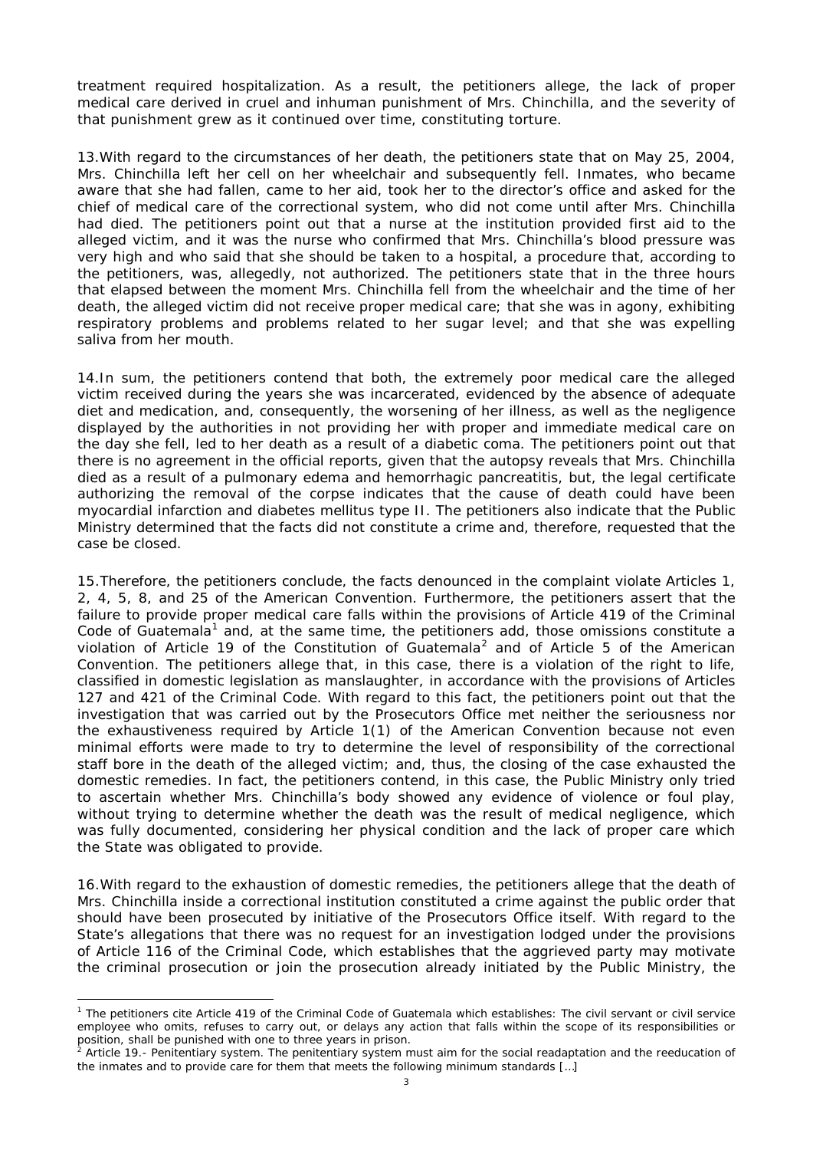treatment required hospitalization. As a result, the petitioners allege, the lack of proper medical care derived in cruel and inhuman punishment of Mrs. Chinchilla, and the severity of that punishment grew as it continued over time, constituting torture.

13.With regard to the circumstances of her death, the petitioners state that on May 25, 2004, Mrs. Chinchilla left her cell on her wheelchair and subsequently fell. Inmates, who became aware that she had fallen, came to her aid, took her to the director's office and asked for the chief of medical care of the correctional system, who did not come until after Mrs. Chinchilla had died. The petitioners point out that a nurse at the institution provided first aid to the alleged victim, and it was the nurse who confirmed that Mrs. Chinchilla's blood pressure was very high and who said that she should be taken to a hospital, a procedure that, according to the petitioners, was, allegedly, not authorized. The petitioners state that in the three hours that elapsed between the moment Mrs. Chinchilla fell from the wheelchair and the time of her death, the alleged victim did not receive proper medical care; that she was in agony, exhibiting respiratory problems and problems related to her sugar level; and that she was expelling saliva from her mouth.

14.In sum, the petitioners contend that both, the extremely poor medical care the alleged victim received during the years she was incarcerated, evidenced by the absence of adequate diet and medication, and, consequently, the worsening of her illness, as well as the negligence displayed by the authorities in not providing her with proper and immediate medical care on the day she fell, led to her death as a result of a diabetic coma. The petitioners point out that there is no agreement in the official reports, given that the autopsy reveals that Mrs. Chinchilla died as a result of a pulmonary edema and hemorrhagic pancreatitis, but, the legal certificate authorizing the removal of the corpse indicates that the cause of death could have been myocardial infarction and diabetes mellitus type II. The petitioners also indicate that the Public Ministry determined that the facts did not constitute a crime and, therefore, requested that the case be closed.

15.Therefore, the petitioners conclude, the facts denounced in the complaint violate Articles 1, 2, 4, 5, 8, and 25 of the American Convention. Furthermore, the petitioners assert that the failure to provide proper medical care falls within the provisions of Article 419 of the Criminal Code of Guatemala<sup>[1](#page-2-0)</sup> and, at the same time, the petitioners add, those omissions constitute a violation of Article 19 of the Constitution of Guatemala<sup>[2](#page-2-1)</sup> and of Article 5 of the American Convention. The petitioners allege that, in this case, there is a violation of the right to life, classified in domestic legislation as manslaughter, in accordance with the provisions of Articles 127 and 421 of the Criminal Code. With regard to this fact, the petitioners point out that the investigation that was carried out by the Prosecutors Office met neither the seriousness nor the exhaustiveness required by Article 1(1) of the American Convention because not even minimal efforts were made to try to determine the level of responsibility of the correctional staff bore in the death of the alleged victim; and, thus, the closing of the case exhausted the domestic remedies. In fact, the petitioners contend, in this case, the Public Ministry only tried to ascertain whether Mrs. Chinchilla's body showed any evidence of violence or foul play, without trying to determine whether the death was the result of medical negligence, which was fully documented, considering her physical condition and the lack of proper care which the State was obligated to provide.

16.With regard to the exhaustion of domestic remedies, the petitioners allege that the death of Mrs. Chinchilla inside a correctional institution constituted a crime against the public order that should have been prosecuted by initiative of the Prosecutors Office itself. With regard to the State's allegations that there was no request for an investigation lodged under the provisions of Article 116 of the Criminal Code, which establishes that the aggrieved party may motivate the criminal prosecution or join the prosecution already initiated by the Public Ministry, the

<span id="page-2-0"></span><sup>&</sup>lt;sup>1</sup> The petitioners cite Article 419 of the Criminal Code of Guatemala which establishes: The civil servant or civil service employee who omits, refuses to carry out, or delays any action that falls within the scope of its responsibilities or position, shall be punished with one to three years in prison.

<span id="page-2-1"></span>Article 19.- Penitentiary system. The penitentiary system must aim for the social readaptation and the reeducation of the inmates and to provide care for them that meets the following minimum standards […]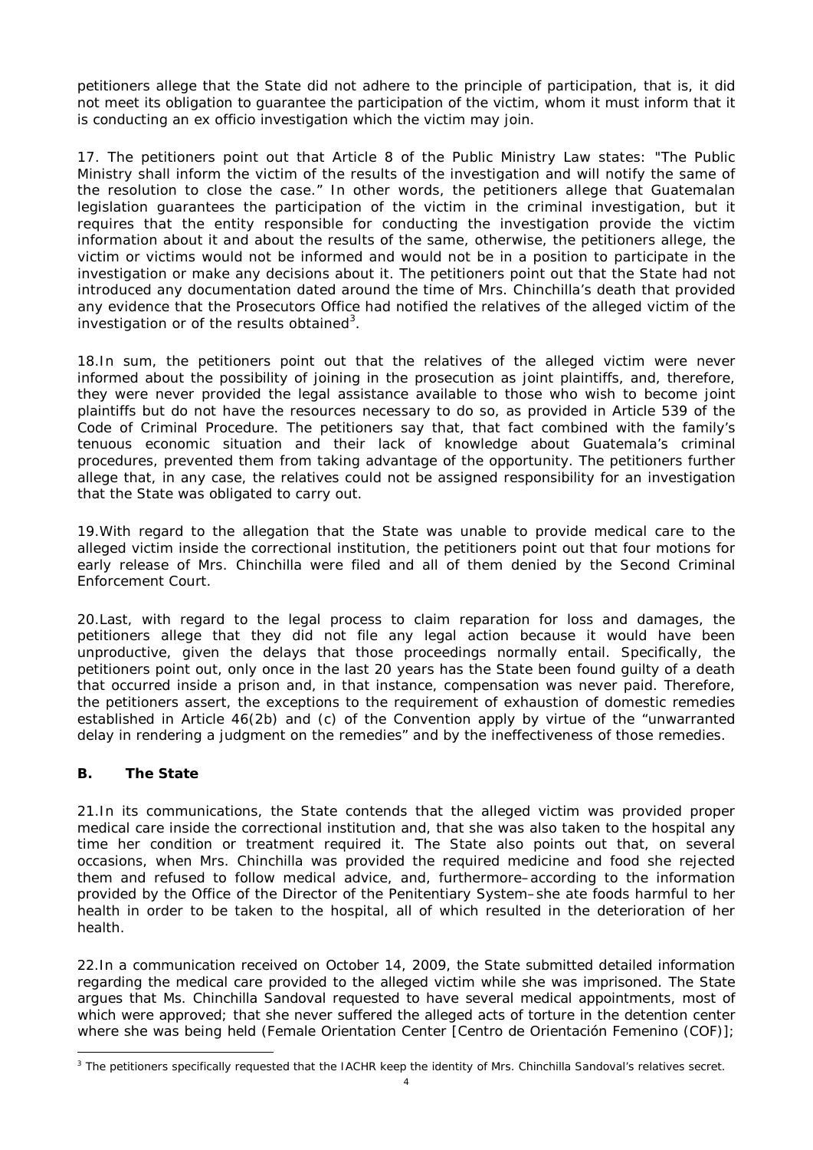petitioners allege that the State did not adhere to the principle of participation, that is, it did not meet its obligation to guarantee the participation of the victim, whom it must inform that it is conducting an *ex officio* investigation which the victim may join.

17. The petitioners point out that Article 8 of the Public Ministry Law states: "The Public Ministry shall inform the victim of the results of the investigation and will notify the same of the resolution to close the case." In other words, the petitioners allege that Guatemalan legislation guarantees the participation of the victim in the criminal investigation, but it requires that the entity responsible for conducting the investigation provide the victim information about it and about the results of the same, otherwise, the petitioners allege, the victim or victims would not be informed and would not be in a position to participate in the investigation or make any decisions about it. The petitioners point out that the State had not introduced any documentation dated around the time of Mrs. Chinchilla's death that provided any evidence that the Prosecutors Office had notified the relatives of the alleged victim of the investigation or of the results obtained<sup>[3](#page-3-0)</sup>.

18.In sum, the petitioners point out that the relatives of the alleged victim were never informed about the possibility of joining in the prosecution as joint plaintiffs, and, therefore, they were never provided the legal assistance available to those who wish to become joint plaintiffs but do not have the resources necessary to do so, as provided in Article 539 of the Code of Criminal Procedure. The petitioners say that, that fact combined with the family's tenuous economic situation and their lack of knowledge about Guatemala's criminal procedures, prevented them from taking advantage of the opportunity. The petitioners further allege that, in any case, the relatives could not be assigned responsibility for an investigation that the State was obligated to carry out.

19.With regard to the allegation that the State was unable to provide medical care to the alleged victim inside the correctional institution, the petitioners point out that four motions for early release of Mrs. Chinchilla were filed and all of them denied by the Second Criminal Enforcement Court.

20.Last, with regard to the legal process to claim reparation for loss and damages, the petitioners allege that they did not file any legal action because it would have been unproductive, given the delays that those proceedings normally entail. Specifically, the petitioners point out, only once in the last 20 years has the State been found guilty of a death that occurred inside a prison and, in that instance, compensation was never paid. Therefore, the petitioners assert, the exceptions to the requirement of exhaustion of domestic remedies established in Article 46(2b) and (c) of the Convention apply by virtue of the "unwarranted delay in rendering a judgment on the remedies" and by the ineffectiveness of those remedies.

## **B. The State**

21.In its communications, the State contends that the alleged victim was provided proper medical care inside the correctional institution and, that she was also taken to the hospital any time her condition or treatment required it. The State also points out that, on several occasions, when Mrs. Chinchilla was provided the required medicine and food she rejected them and refused to follow medical advice, and, furthermore–according to the information provided by the Office of the Director of the Penitentiary System–she ate foods harmful to her health in order to be taken to the hospital, all of which resulted in the deterioration of her health.

22.In a communication received on October 14, 2009, the State submitted detailed information regarding the medical care provided to the alleged victim while she was imprisoned. The State argues that Ms. Chinchilla Sandoval requested to have several medical appointments, most of which were approved; that she never suffered the alleged acts of torture in the detention center where she was being held (*Female Orientation Center [Centro de Orientación Femenino (COF)]*;

<span id="page-3-0"></span><sup>&</sup>lt;sup>3</sup> The petitioners specifically requested that the IACHR keep the identity of Mrs. Chinchilla Sandoval's relatives secret.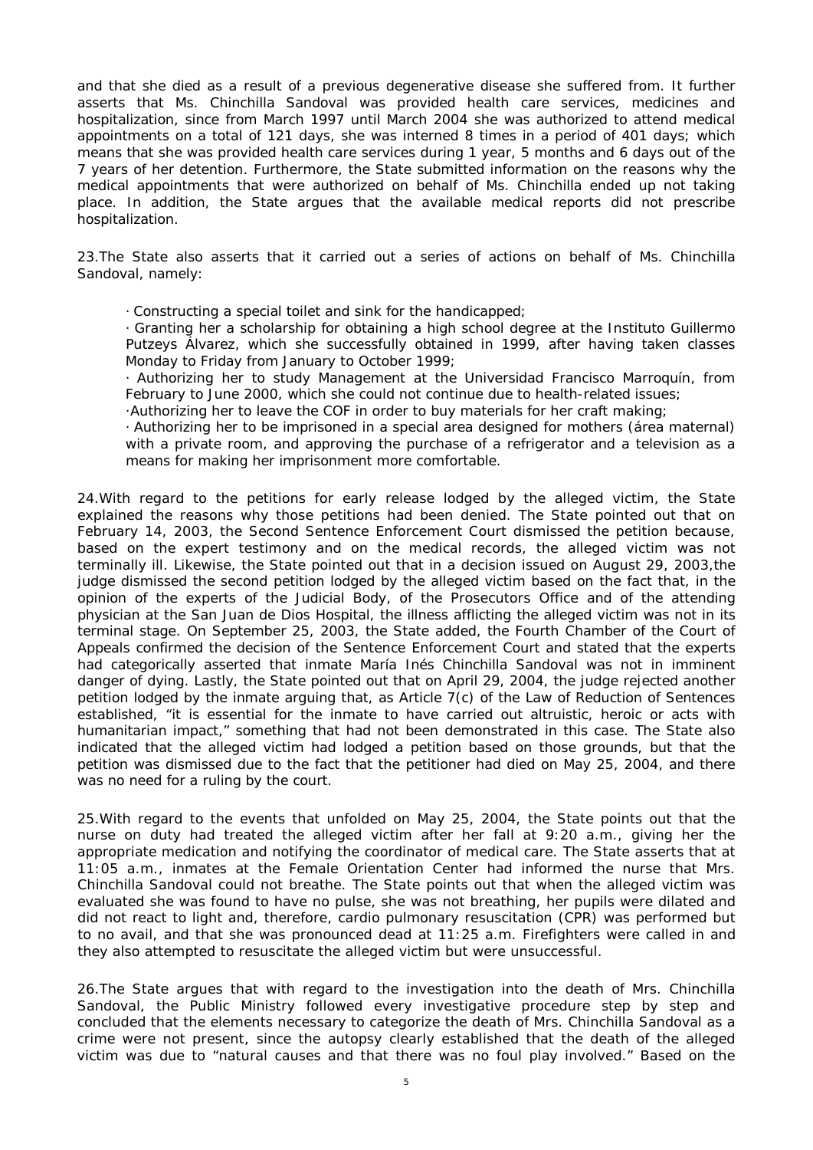and that she died as a result of a previous degenerative disease she suffered from. It further asserts that Ms. Chinchilla Sandoval was provided health care services, medicines and hospitalization, since from March 1997 until March 2004 she was authorized to attend medical appointments on a total of 121 days, she was interned 8 times in a period of 401 days; which means that she was provided health care services during 1 year, 5 months and 6 days out of the 7 years of her detention. Furthermore, the State submitted information on the reasons why the medical appointments that were authorized on behalf of Ms. Chinchilla ended up not taking place. In addition, the State argues that the available medical reports did not prescribe hospitalization.

23.The State also asserts that it carried out a series of actions on behalf of Ms. Chinchilla Sandoval, namely:

· Constructing a special toilet and sink for the handicapped;

· Granting her a scholarship for obtaining a high school degree at the *Instituto Guillermo Putzeys Álvarez*, which she successfully obtained in 1999, after having taken classes Monday to Friday from January to October 1999;

· Authorizing her to study Management at the *Universidad Francisco Marroquín*, from February to June 2000, which she could not continue due to health-related issues;

·Authorizing her to leave the COF in order to buy materials for her craft making;

· Authorizing her to be imprisoned in a special area designed for mothers (*área maternal*) with a private room, and approving the purchase of a refrigerator and a television as a means for making her imprisonment more comfortable.

24.With regard to the petitions for early release lodged by the alleged victim, the State explained the reasons why those petitions had been denied. The State pointed out that on February 14, 2003, the Second Sentence Enforcement Court dismissed the petition because, based on the expert testimony and on the medical records, the alleged victim was not terminally ill. Likewise, the State pointed out that in a decision issued on August 29, 2003,the judge dismissed the second petition lodged by the alleged victim based on the fact that, in the opinion of the experts of the Judicial Body, of the Prosecutors Office and of the attending physician at the San Juan de Dios Hospital, the illness afflicting the alleged victim was not in its terminal stage. On September 25, 2003, the State added, the Fourth Chamber of the Court of Appeals confirmed the decision of the Sentence Enforcement Court and stated that the experts had categorically asserted that inmate María Inés Chinchilla Sandoval was not in imminent danger of dying. Lastly, the State pointed out that on April 29, 2004, the judge rejected another petition lodged by the inmate arguing that, as Article 7(c) of the Law of Reduction of Sentences established, "it is essential for the inmate to have carried out altruistic, heroic or acts with humanitarian impact," something that had not been demonstrated in this case. The State also indicated that the alleged victim had lodged a petition based on those grounds, but that the petition was dismissed due to the fact that the petitioner had died on May 25, 2004, and there was no need for a ruling by the court.

25.With regard to the events that unfolded on May 25, 2004, the State points out that the nurse on duty had treated the alleged victim after her fall at 9:20 a.m., giving her the appropriate medication and notifying the coordinator of medical care. The State asserts that at 11:05 a.m., inmates at the Female Orientation Center had informed the nurse that Mrs. Chinchilla Sandoval could not breathe. The State points out that when the alleged victim was evaluated she was found to have no pulse, she was not breathing, her pupils were dilated and did not react to light and, therefore, cardio pulmonary resuscitation (CPR) was performed but to no avail, and that she was pronounced dead at 11:25 a.m. Firefighters were called in and they also attempted to resuscitate the alleged victim but were unsuccessful.

26.The State argues that with regard to the investigation into the death of Mrs. Chinchilla Sandoval, the Public Ministry followed every investigative procedure step by step and concluded that the elements necessary to categorize the death of Mrs. Chinchilla Sandoval as a crime were not present, since the autopsy clearly established that the death of the alleged victim was due to "natural causes and that there was no foul play involved." Based on the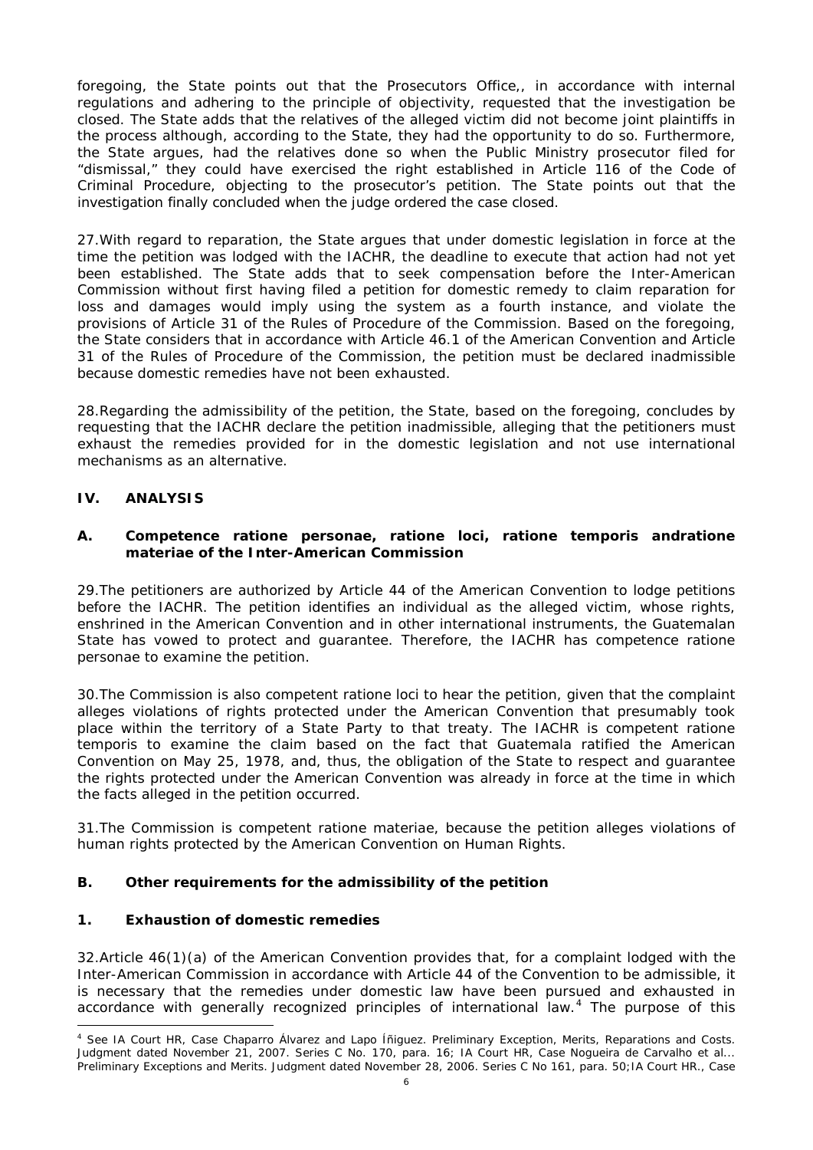foregoing, the State points out that the Prosecutors Office,, in accordance with internal regulations and adhering to the principle of objectivity, requested that the investigation be closed. The State adds that the relatives of the alleged victim did not become joint plaintiffs in the process although, according to the State, they had the opportunity to do so. Furthermore, the State argues, had the relatives done so when the Public Ministry prosecutor filed for "dismissal," they could have exercised the right established in Article 116 of the Code of Criminal Procedure, objecting to the prosecutor's petition. The State points out that the investigation finally concluded when the judge ordered the case closed.

27.With regard to reparation, the State argues that under domestic legislation in force at the time the petition was lodged with the IACHR, the deadline to execute that action had not yet been established. The State adds that to seek compensation before the Inter-American Commission without first having filed a petition for domestic remedy to claim reparation for loss and damages would imply using the system as a fourth instance, and violate the provisions of Article 31 of the Rules of Procedure of the Commission. Based on the foregoing, the State considers that in accordance with Article 46.1 of the American Convention and Article 31 of the Rules of Procedure of the Commission, the petition must be declared inadmissible because domestic remedies have not been exhausted.

28.Regarding the admissibility of the petition, the State, based on the foregoing, concludes by requesting that the IACHR declare the petition inadmissible, alleging that the petitioners must exhaust the remedies provided for in the domestic legislation and not use international mechanisms as an alternative.

# **IV. ANALYSIS**

### **A. Competence** *ratione personae***,** *ratione loci***,** *ratione temporis* **and***ratione materiae* **of the Inter-American Commission**

29.The petitioners are authorized by Article 44 of the American Convention to lodge petitions before the IACHR. The petition identifies an individual as the alleged victim, whose rights, enshrined in the American Convention and in other international instruments, the Guatemalan State has vowed to protect and guarantee. Therefore, the IACHR has competence *ratione personae* to examine the petition.

30.The Commission is also competent *ratione loci* to hear the petition, given that the complaint alleges violations of rights protected under the American Convention that presumably took place within the territory of a State Party to that treaty. The IACHR is competent *ratione temporis* to examine the claim based on the fact that Guatemala ratified the American Convention on May 25, 1978, and, thus, the obligation of the State to respect and guarantee the rights protected under the American Convention was already in force at the time in which the facts alleged in the petition occurred.

31.The Commission is competent *ratione materiae*, because the petition alleges violations of human rights protected by the American Convention on Human Rights.

## **B. Other requirements for the admissibility of the petition**

#### **1. Exhaustion of domestic remedies**

32.Article 46(1)(a) of the American Convention provides that, for a complaint lodged with the Inter-American Commission in accordance with Article 44 of the Convention to be admissible, it is necessary that the remedies under domestic law have been pursued and exhausted in accordance with generally recognized principles of international law.<sup>[4](#page-5-0)</sup> The purpose of this

<span id="page-5-0"></span> <sup>4</sup> See IA Court HR, Case *Chaparro Álvarez and Lapo Íñiguez*. Preliminary Exception, Merits, Reparations and Costs. Judgment dated November 21, 2007. Series C No. 170, para. 16; IA Court HR, *Case Nogueira de Carvalho et al.*.. *Preliminary Exceptions and Merits.* Judgment dated November 28, 2006. Series C No 161, para. 50;IA Court HR., *Case*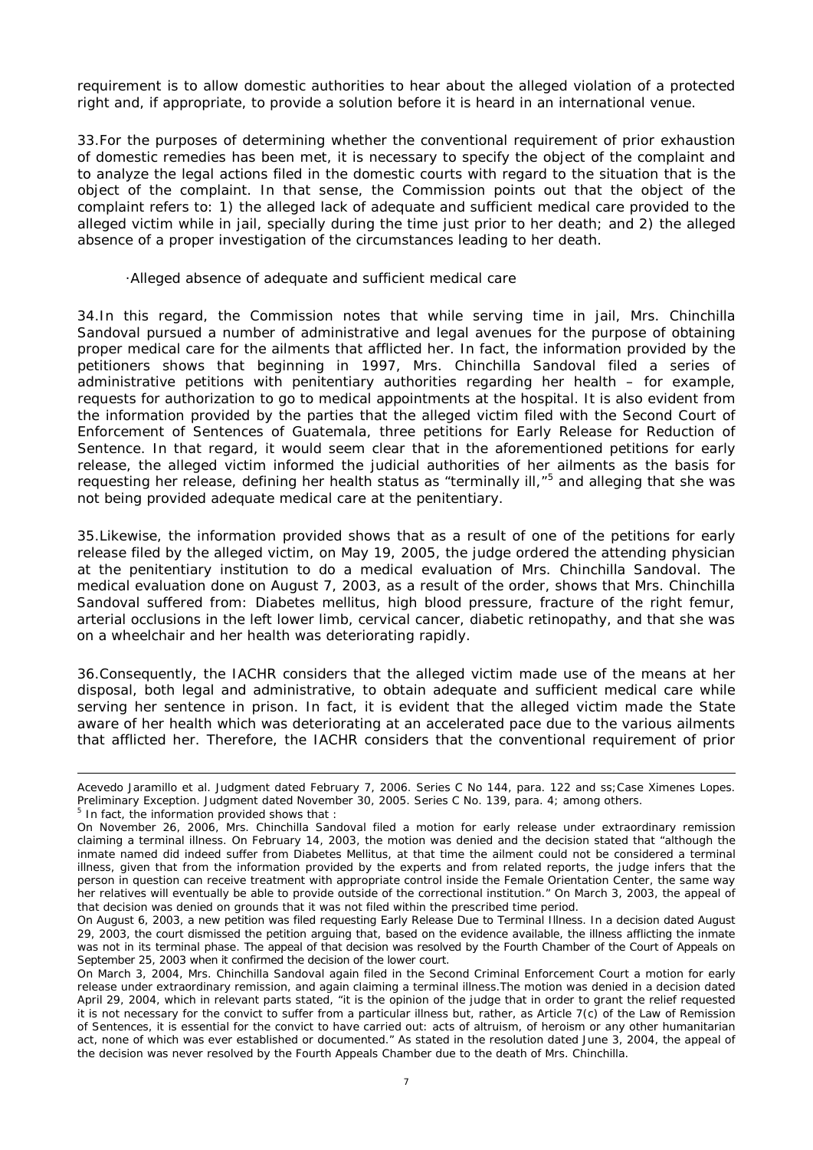requirement is to allow domestic authorities to hear about the alleged violation of a protected right and, if appropriate, to provide a solution before it is heard in an international venue.

33.For the purposes of determining whether the conventional requirement of prior exhaustion of domestic remedies has been met, it is necessary to specify the object of the complaint and to analyze the legal actions filed in the domestic courts with regard to the situation that is the object of the complaint. In that sense, the Commission points out that the object of the complaint refers to: 1) the alleged lack of adequate and sufficient medical care provided to the alleged victim while in jail, specially during the time just prior to her death; and 2) the alleged absence of a proper investigation of the circumstances leading to her death.

#### ·Alleged absence of adequate and sufficient medical care

34.In this regard, the Commission notes that while serving time in jail, Mrs. Chinchilla Sandoval pursued a number of administrative and legal avenues for the purpose of obtaining proper medical care for the ailments that afflicted her. In fact, the information provided by the petitioners shows that beginning in 1997, Mrs. Chinchilla Sandoval filed a series of administrative petitions with penitentiary authorities regarding her health – for example, requests for authorization to go to medical appointments at the hospital. It is also evident from the information provided by the parties that the alleged victim filed with the Second Court of Enforcement of Sentences of Guatemala, three petitions for Early Release for Reduction of Sentence. In that regard, it would seem clear that in the aforementioned petitions for early release, the alleged victim informed the judicial authorities of her ailments as the basis for requesting her release, defining her health status as "terminally ill,"<sup>[5](#page-6-0)</sup> and alleging that she was not being provided adequate medical care at the penitentiary.

35.Likewise, the information provided shows that as a result of one of the petitions for early release filed by the alleged victim, on May 19, 2005, the judge ordered the attending physician at the penitentiary institution to do a medical evaluation of Mrs. Chinchilla Sandoval. The medical evaluation done on August 7, 2003, as a result of the order, shows that Mrs. Chinchilla Sandoval suffered from: Diabetes *mellitus,* high blood pressure, fracture of the right femur, arterial occlusions in the left lower limb, cervical cancer, diabetic retinopathy, and that she was on a wheelchair and her health was deteriorating rapidly.

36.Consequently, the IACHR considers that the alleged victim made use of the means at her disposal, both legal and administrative, to obtain adequate and sufficient medical care while serving her sentence in prison. In fact, it is evident that the alleged victim made the State aware of her health which was deteriorating at an accelerated pace due to the various ailments that afflicted her. Therefore, the IACHR considers that the conventional requirement of prior

-

*Acevedo Jaramillo et al.* Judgment dated February 7, 2006. Series C No 144, para. 122 and ss;*Case Ximenes Lopes*. *Preliminary Exception*. Judgment dated November 30, 2005. Series C No. 139, para. 4; among others.  $5$  In fact, the information provided shows that :

<span id="page-6-0"></span>On November 26, 2006, Mrs. Chinchilla Sandoval filed a motion for early release under extraordinary remission claiming a terminal illness. On February 14, 2003, the motion was denied and the decision stated that "although the inmate named did indeed suffer from Diabetes Mellitus, at that time the ailment could not be considered a terminal illness, given that from the information provided by the experts and from related reports, the judge infers that the person in question can receive treatment with appropriate control inside the Female Orientation Center, the same way her relatives will eventually be able to provide outside of the correctional institution." On March 3, 2003, the appeal of that decision was denied on grounds that it was not filed within the prescribed time period.

On August 6, 2003, a new petition was filed requesting Early Release Due to Terminal Illness. In a decision dated August 29, 2003, the court dismissed the petition arguing that, based on the evidence available, the illness afflicting the inmate was not in its terminal phase. The appeal of that decision was resolved by the Fourth Chamber of the Court of Appeals on September 25, 2003 when it confirmed the decision of the lower court.

On March 3, 2004, Mrs. Chinchilla Sandoval again filed in the Second Criminal Enforcement Court a motion for early release under extraordinary remission, and again claiming a terminal illness.The motion was denied in a decision dated April 29, 2004, which in relevant parts stated, "it is the opinion of the judge that in order to grant the relief requested it is not necessary for the convict to suffer from a particular illness but, rather, as Article 7(c) of the Law of Remission of Sentences, it is essential for the convict to have carried out: acts of altruism, of heroism or any other humanitarian act, none of which was ever established or documented." As stated in the resolution dated June 3, 2004, the appeal of the decision was never resolved by the Fourth Appeals Chamber due to the death of Mrs. Chinchilla.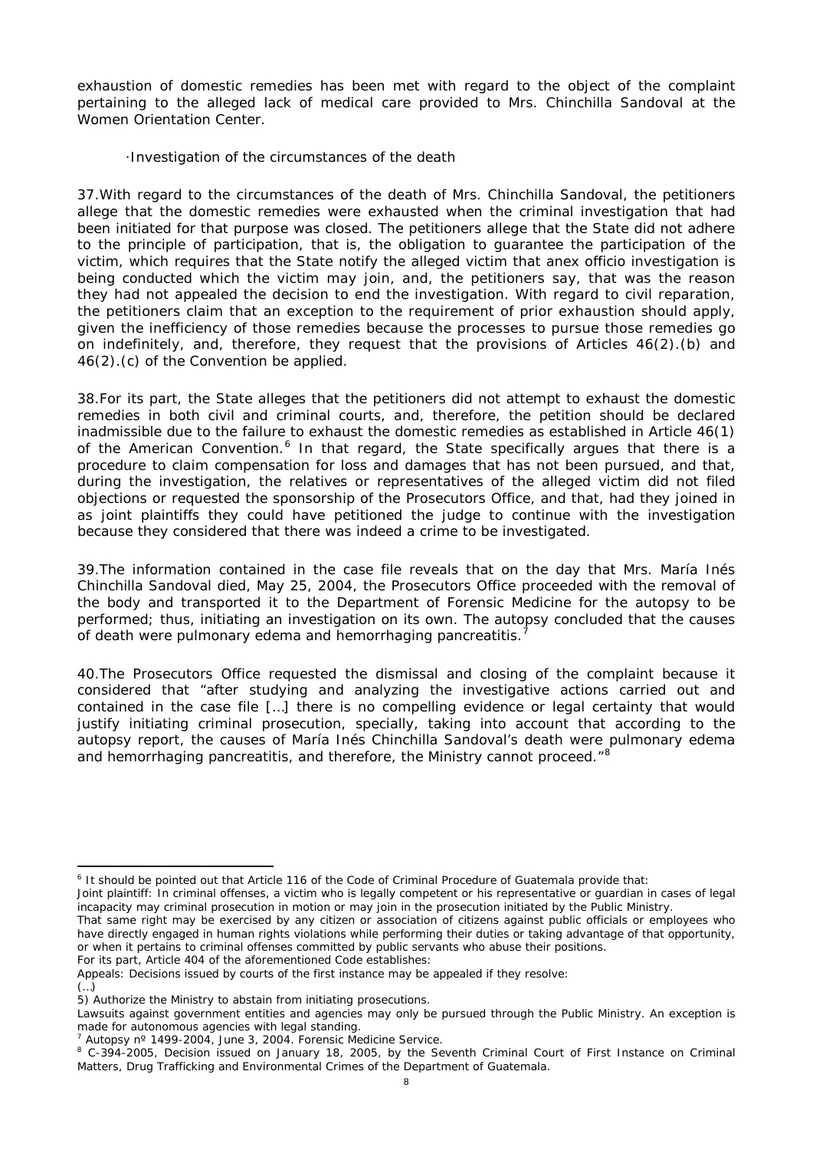exhaustion of domestic remedies has been met with regard to the object of the complaint pertaining to the alleged lack of medical care provided to Mrs. Chinchilla Sandoval at the Women Orientation Center.

·Investigation of the circumstances of the death

37.With regard to the circumstances of the death of Mrs. Chinchilla Sandoval, the petitioners allege that the domestic remedies were exhausted when the criminal investigation that had been initiated for that purpose was closed. The petitioners allege that the State did not adhere to the principle of participation, that is, the obligation to guarantee the participation of the victim, which requires that the State notify the alleged victim that an*ex officio* investigation is being conducted which the victim may join, and, the petitioners say, that was the reason they had not appealed the decision to end the investigation. With regard to civil reparation, the petitioners claim that an exception to the requirement of prior exhaustion should apply, given the inefficiency of those remedies because the processes to pursue those remedies go on indefinitely, and, therefore, they request that the provisions of Articles 46(2).(b) and 46(2).(c) of the Convention be applied.

38.For its part, the State alleges that the petitioners did not attempt to exhaust the domestic remedies in both civil and criminal courts, and, therefore, the petition should be declared inadmissible due to the failure to exhaust the domestic remedies as established in Article 46(1) of the American Convention.<sup>[6](#page-7-0)</sup> In that regard, the State specifically argues that there is a procedure to claim compensation for loss and damages that has not been pursued, and that, during the investigation, the relatives or representatives of the alleged victim did not filed objections or requested the sponsorship of the Prosecutors Office, and that, had they joined in as joint plaintiffs they could have petitioned the judge to continue with the investigation because they considered that there was indeed a crime to be investigated.

39.The information contained in the case file reveals that on the day that Mrs. María Inés Chinchilla Sandoval died, May 25, 2004, the Prosecutors Office proceeded with the removal of the body and transported it to the Department of Forensic Medicine for the autopsy to be performed; thus, initiating an investigation on its own. The autopsy concluded that the causes of death were pulmonary edema and hemorrhaging pancreatitis.<sup>[7](#page-7-1)</sup>

40.The Prosecutors Office requested the dismissal and closing of the complaint because it considered that "after studying and analyzing the investigative actions carried out and contained in the case file […] there is no compelling evidence or legal certainty that would justify initiating criminal prosecution, specially, taking into account that according to the autopsy report, the causes of María Inés Chinchilla Sandoval's death were pulmonary edema and hemorrhaging pancreatitis, and therefore, the Ministry cannot proceed."<sup>[8](#page-7-2)</sup>

<span id="page-7-0"></span> <sup>6</sup> It should be pointed out that Article 116 of the Code of Criminal Procedure of Guatemala provide that:

Joint plaintiff: In criminal offenses, a victim who is legally competent or his representative or guardian in cases of legal incapacity may criminal prosecution in motion or may join in the prosecution initiated by the Public Ministry.

That same right may be exercised by any citizen or association of citizens against public officials or employees who have directly engaged in human rights violations while performing their duties or taking advantage of that opportunity, or when it pertains to criminal offenses committed by public servants who abuse their positions.

For its part, Article 404 of the aforementioned Code establishes:

Appeals: Decisions issued by courts of the first instance may be appealed if they resolve: (…)

<sup>5)</sup> Authorize the Ministry to abstain from initiating prosecutions.

Lawsuits against government entities and agencies may only be pursued through the Public Ministry. An exception is made for autonomous agencies with legal standing.

<span id="page-7-1"></span><sup>7</sup> Autopsy nº 1499-2004, June 3, 2004. Forensic Medicine Service.

<span id="page-7-2"></span><sup>&</sup>lt;sup>8</sup> C-394-2005, Decision issued on January 18, 2005, by the Seventh Criminal Court of First Instance on Criminal Matters, Drug Trafficking and Environmental Crimes of the Department of Guatemala.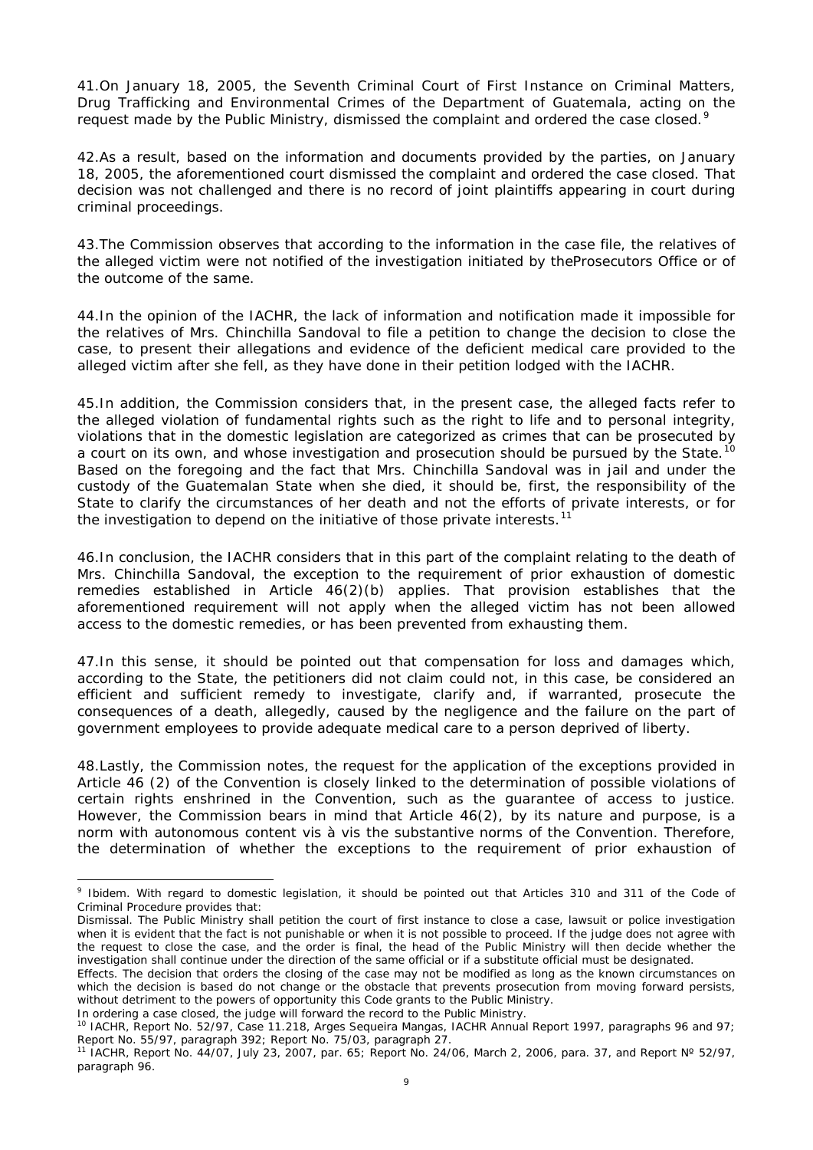41.On January 18, 2005, the Seventh Criminal Court of First Instance on Criminal Matters, Drug Trafficking and Environmental Crimes of the Department of Guatemala, acting on the request made by the Public Ministry, dismissed the complaint and ordered the case closed.<sup>[9](#page-8-0)</sup>

42.As a result, based on the information and documents provided by the parties, on January 18, 2005, the aforementioned court dismissed the complaint and ordered the case closed. That decision was not challenged and there is no record of joint plaintiffs appearing in court during criminal proceedings.

43.The Commission observes that according to the information in the case file, the relatives of the alleged victim were not notified of the investigation initiated by theProsecutors Office or of the outcome of the same.

44.In the opinion of the IACHR, the lack of information and notification made it impossible for the relatives of Mrs. Chinchilla Sandoval to file a petition to change the decision to close the case, to present their allegations and evidence of the deficient medical care provided to the alleged victim after she fell, as they have done in their petition lodged with the IACHR.

45.In addition, the Commission considers that, in the present case, the alleged facts refer to the alleged violation of fundamental rights such as the right to life and to personal integrity, violations that in the domestic legislation are categorized as crimes that can be prosecuted by a court on its own, and whose investigation and prosecution should be pursued by the State.<sup>[10](#page-8-1)</sup> Based on the foregoing and the fact that Mrs. Chinchilla Sandoval was in jail and under the custody of the Guatemalan State when she died, it should be, first, the responsibility of the State to clarify the circumstances of her death and not the efforts of private interests, or for the investigation to depend on the initiative of those private interests.<sup>[11](#page-8-2)</sup>

46.In conclusion, the IACHR considers that in this part of the complaint relating to the death of Mrs. Chinchilla Sandoval, the exception to the requirement of prior exhaustion of domestic remedies established in Article 46(2)(b) applies. That provision establishes that the aforementioned requirement will not apply when the alleged victim has not been allowed access to the domestic remedies, or has been prevented from exhausting them.

47.In this sense, it should be pointed out that compensation for loss and damages which, according to the State, the petitioners did not claim could not, in this case, be considered an efficient and sufficient remedy to investigate, clarify and, if warranted, prosecute the consequences of a death, allegedly, caused by the negligence and the failure on the part of government employees to provide adequate medical care to a person deprived of liberty.

48.Lastly, the Commission notes, the request for the application of the exceptions provided in Article 46 (2) of the Convention is closely linked to the determination of possible violations of certain rights enshrined in the Convention, such as the guarantee of access to justice. However, the Commission bears in mind that Article 46(2), by its nature and purpose, is a norm with autonomous content *vis à vis* the substantive norms of the Convention. Therefore, the determination of whether the exceptions to the requirement of prior exhaustion of

In ordering a case closed, the judge will forward the record to the Public Ministry.

<span id="page-8-0"></span> <sup>9</sup> *Ibidem*. With regard to domestic legislation, it should be pointed out that Articles 310 and 311 of the Code of Criminal Procedure provides that:

Dismissal. The Public Ministry shall petition the court of first instance to close a case, lawsuit or police investigation when it is evident that the fact is not punishable or when it is not possible to proceed. If the judge does not agree with the request to close the case, and the order is final, the head of the Public Ministry will then decide whether the investigation shall continue under the direction of the same official or if a substitute official must be designated.

Effects. The decision that orders the closing of the case may not be modified as long as the known circumstances on which the decision is based do not change or the obstacle that prevents prosecution from moving forward persists, without detriment to the powers of opportunity this Code grants to the Public Ministry.

<span id="page-8-1"></span><sup>10</sup> IACHR, Report No. 52/97, Case 11.218, Arges Sequeira Mangas, *IACHR Annual Report 1997*, paragraphs 96 and 97; Report No. 55/97, paragraph 392; Report No. 75/03, paragraph 27.

<span id="page-8-2"></span><sup>11</sup> IACHR, Report No. 44/07, July 23, 2007, par. 65; Report No. 24/06, March 2, 2006, para. 37, and Report Nº 52/97, paragraph 96.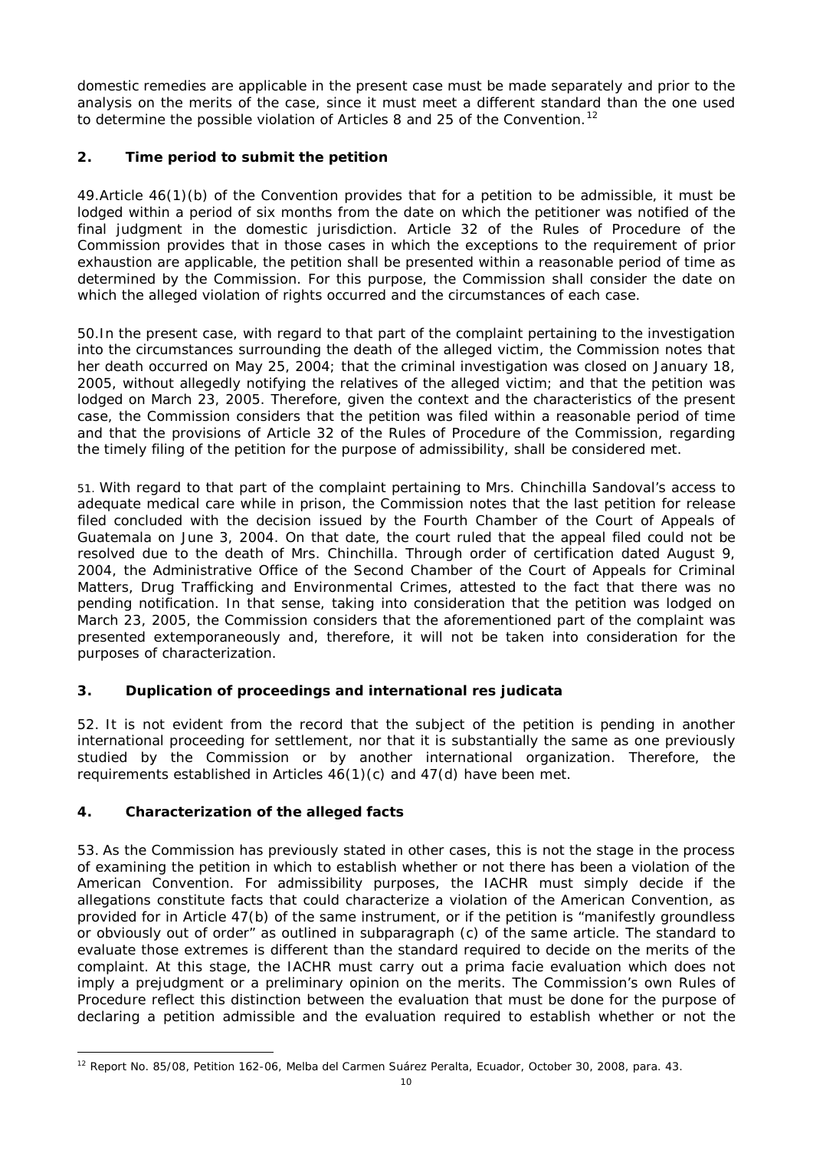domestic remedies are applicable in the present case must be made separately and prior to the analysis on the merits of the case, since it must meet a different standard than the one used to determine the possible violation of Articles 8 and 25 of the Convention.<sup>[12](#page-9-0)</sup>

# **2. Time period to submit the petition**

49.Article 46(1)(b) of the Convention provides that for a petition to be admissible, it must be lodged within a period of six months from the date on which the petitioner was notified of the final judgment in the domestic jurisdiction. Article 32 of the Rules of Procedure of the Commission provides that in those cases in which the exceptions to the requirement of prior exhaustion are applicable, the petition shall be presented within a reasonable period of time as determined by the Commission. For this purpose, the Commission shall consider the date on which the alleged violation of rights occurred and the circumstances of each case.

50.In the present case, with regard to that part of the complaint pertaining to the investigation into the circumstances surrounding the death of the alleged victim, the Commission notes that her death occurred on May 25, 2004; that the criminal investigation was closed on January 18, 2005, without allegedly notifying the relatives of the alleged victim; and that the petition was lodged on March 23, 2005. Therefore, given the context and the characteristics of the present case, the Commission considers that the petition was filed within a reasonable period of time and that the provisions of Article 32 of the Rules of Procedure of the Commission, regarding the timely filing of the petition for the purpose of admissibility, shall be considered met.

51. With regard to that part of the complaint pertaining to Mrs. Chinchilla Sandoval's access to adequate medical care while in prison, the Commission notes that the last petition for release filed concluded with the decision issued by the Fourth Chamber of the Court of Appeals of Guatemala on June 3, 2004. On that date, the court ruled that the appeal filed could not be resolved due to the death of Mrs. Chinchilla. Through order of certification dated August 9, 2004, the Administrative Office of the Second Chamber of the Court of Appeals for Criminal Matters, Drug Trafficking and Environmental Crimes, attested to the fact that there was no pending notification. In that sense, taking into consideration that the petition was lodged on March 23, 2005, the Commission considers that the aforementioned part of the complaint was presented extemporaneously and, therefore, it will not be taken into consideration for the purposes of characterization.

## **3. Duplication of proceedings and international** *res judicata*

52. It is not evident from the record that the subject of the petition is pending in another international proceeding for settlement, nor that it is substantially the same as one previously studied by the Commission or by another international organization. Therefore, the requirements established in Articles 46(1)(c) and 47(d) have been met.

## **4. Characterization of the alleged facts**

53. As the Commission has previously stated in other cases, this is not the stage in the process of examining the petition in which to establish whether or not there has been a violation of the American Convention. For admissibility purposes, the IACHR must simply decide if the allegations constitute facts that could characterize a violation of the American Convention, as provided for in Article 47(b) of the same instrument, or if the petition is "manifestly groundless or obviously out of order" as outlined in subparagraph (c) of the same article. The standard to evaluate those extremes is different than the standard required to decide on the merits of the complaint. At this stage, the IACHR must carry out a prima facie evaluation which does not imply a prejudgment or a preliminary opinion on the merits. The Commission's own Rules of Procedure reflect this distinction between the evaluation that must be done for the purpose of declaring a petition admissible and the evaluation required to establish whether or not the

<span id="page-9-0"></span> <sup>12</sup> Report No. 85/08, Petition 162-06, Melba del Carmen Suárez Peralta, Ecuador, October 30, 2008, para. 43.